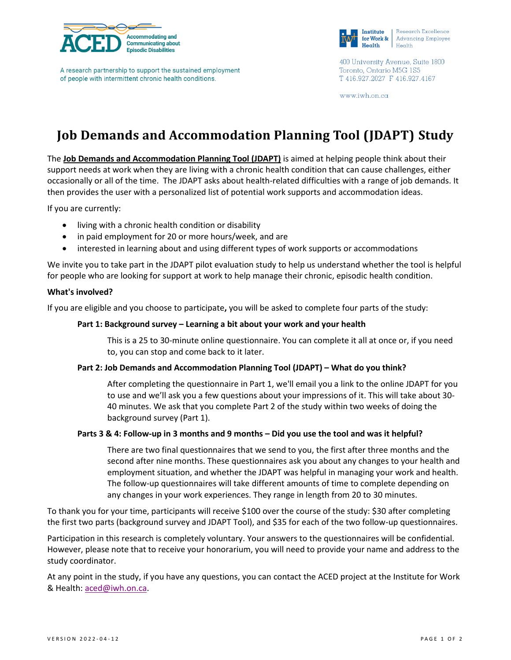

A research partnership to support the sustained employment of people with intermittent chronic health conditions.



Research Excellence **Advancing Employee** 

400 University Avenue, Suite 1800 Toronto, Ontario M5G 1S5 T 416.927.2027 F 416.927.4167

www.iwh.on.ca

# **Job Demands and Accommodation Planning Tool (JDAPT) Study**

The **Job Demands and Accommodation Planning Tool (JDAPT)** is aimed at helping people think about their support needs at work when they are living with a chronic health condition that can cause challenges, either occasionally or all of the time. The JDAPT asks about health-related difficulties with a range of job demands. It then provides the user with a personalized list of potential work supports and accommodation ideas.

If you are currently:

- living with a chronic health condition or disability
- in paid employment for 20 or more hours/week, and are
- interested in learning about and using different types of work supports or accommodations

We invite you to take part in the JDAPT pilot evaluation study to help us understand whether the tool is helpful for people who are looking for support at work to help manage their chronic, episodic health condition.

## **What's involved?**

If you are eligible and you choose to participate**,** you will be asked to complete four parts of the study:

## **Part 1: Background survey – Learning a bit about your work and your health**

This is a 25 to 30-minute online questionnaire. You can complete it all at once or, if you need to, you can stop and come back to it later.

#### **Part 2: Job Demands and Accommodation Planning Tool (JDAPT) – What do you think?**

After completing the questionnaire in Part 1, we'll email you a link to the online JDAPT for you to use and we'll ask you a few questions about your impressions of it. This will take about 30- 40 minutes. We ask that you complete Part 2 of the study within two weeks of doing the background survey (Part 1).

# **Parts 3 & 4: Follow-up in 3 months and 9 months – Did you use the tool and was it helpful?**

There are two final questionnaires that we send to you, the first after three months and the second after nine months. These questionnaires ask you about any changes to your health and employment situation, and whether the JDAPT was helpful in managing your work and health. The follow-up questionnaires will take different amounts of time to complete depending on any changes in your work experiences. They range in length from 20 to 30 minutes.

To thank you for your time, participants will receive \$100 over the course of the study: \$30 after completing the first two parts (background survey and JDAPT Tool), and \$35 for each of the two follow-up questionnaires.

Participation in this research is completely voluntary. Your answers to the questionnaires will be confidential. However, please note that to receive your honorarium, you will need to provide your name and address to the study coordinator.

At any point in the study, if you have any questions, you can contact the ACED project at the Institute for Work & Health[: aced@iwh.on.ca.](mailto:aced@iwh.on.ca?subject=JDAPT%20Evaluation%20Study)